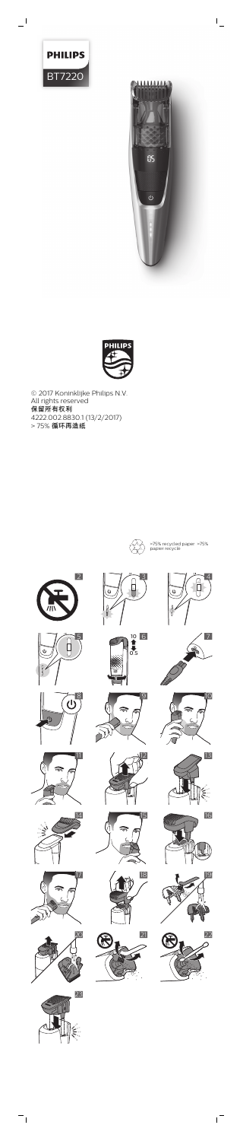

 $\mathbf{I}$ 



 $\frac{1}{2}$ 



© 2017 Koninklijke Philips N.V. All rights reserved 保留所有权利 4222.002.8830.1 (13/2/2017) > 75% 循环再造纸













 $\overline{b}$ 







 $\mathbf{I}$ 



 $\mathbf{r}$ 

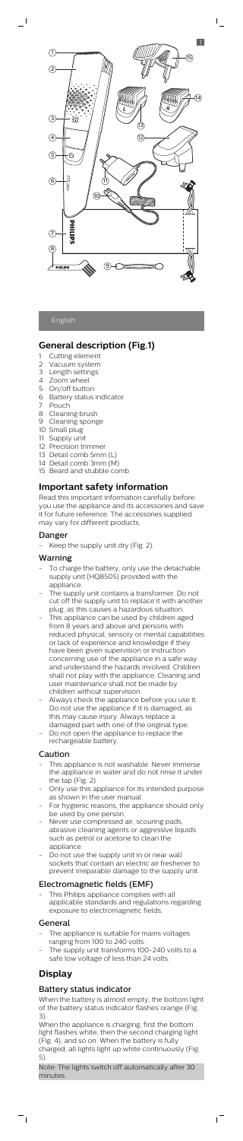## English

 $\blacksquare$ 

## **General description (Fig.1)**

- 1 Cutting element
- 2 Vacuum system
- 3 Length settings
- 4 Zoom wheel
- 5 On/off button
- 6 Battery status indicator
- 7 Pouch
- 8 Cleaning brush
- 9 Cleaning sponge
- 10 Small plug
- 11 Supply unit
- 12 Precision trimmer
- 13 Detail comb 5mm (L) 14 Detail comb 3mm (M)
- 15 Beard and stubble comb

## **Important safety information**

Read this important information carefully before you use the appliance and its accessories and save it for future reference. The accessories supplied may vary for different products.

#### Danger

Keep the supply unit dry (Fig. 2).

## Warning

- To charge the battery, only use the detachable supply unit (HQ8505) provided with the appliance.
- The supply unit contains a transformer. Do not cut off the supply unit to replace it with another plug, as this causes a hazardous situation.
- This appliance can be used by children aged from 8 years and above and persons with reduced physical, sensory or mental capabilities or lack of experience and knowledge if they have been given supervision or instruction concerning use of the appliance in a safe way and understand the hazards involved. Children shall not play with the appliance. Cleaning and user maintenance shall not be made by children without supervision.
- Always check the appliance before you use it. Do not use the appliance if it is damaged, as this may cause injury. Always replace a damaged part with one of the original type.
- Do not open the appliance to replace the rechargeable battery.

- This appliance is not washable. Never immerse the appliance in water and do not rinse it under the tap (Fig. 2).
- Only use this appliance for its intended purpose as shown in the user manual.
- For hygienic reasons, the appliance should only be used by one person.
- lever use compressed air, scouring <sub>l</sub>
	- abrasive cleaning agents or aggressive liquids such as petrol or acetone to clean the appliance.
- Do not use the supply unit in or near wall sockets that contain an electric air freshener to prevent irreparable damage to the supply unit.

This Philips appliance complies with all applicable standards and regulations regarding exposure to electromagnetic fields.

- The appliance is suitable for mains voltages ranging from 100 to 240 volts.
- The supply unit transforms 100-240 volts to a safe low voltage of less than 24 volts.

#### Caution

## Electromagnetic fields (EMF)

## General

# **Display**

 $\overline{\phantom{a}}$ 

## Battery status indicator

When the battery is almost empty, the bottom light of the battery status indicator flashes orange (Fig. 3).

When the appliance is charging, first the bottom light flashes white, then the second charging light (Fig. 4), and so on. When the battery is fully charged, all lights light up white continuously (Fig. 5).

Note: The lights switch off automatically after 30 minutes.

 $\sqrt{2}$ 



 $\mathsf{L}$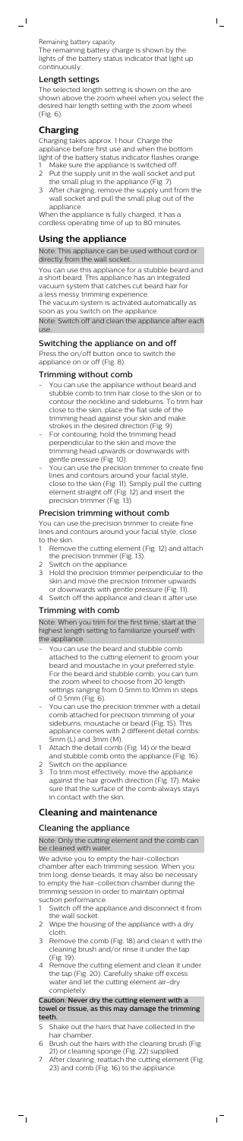Remaining battery capacity The remaining battery charge is shown by the lights of the battery status indicator that light up continuously.

 $\bar{\Gamma}$ 

#### Length settings

 $\overline{\phantom{0}}$ 

The selected length setting is shown on the are shown above the zoom wheel when you select the desired hair length setting with the zoom wheel (Fig. 6).

## **Charging**

Charging takes approx. 1 hour. Charge the appliance before first use and when the bottom light of the battery status indicator flashes orange.

a less messy trimming experience. The vacuum system is activated automatically as soon as you switch on the appliance.

Note: Switch off and clean the appliance after each use

- 1 Make sure the appliance is switched off. 2 Put the supply unit in the wall socket and put
- the small plug in the appliance (Fig. 7). 3 After charging, remove the supply unit from the
- wall socket and pull the small plug out of the appliance.

When the appliance is fully charged, it has a cordless operating time of up to 80 minutes.

## **Using the appliance**

Note: This appliance can be used without cord or directly from the wall socket.

You can use this appliance for a stubble beard and a short beard. This appliance has an integrated vacuum system that catches cut beard hair for

- You can use the appliance without beard and stubble comb to trim hair close to the skin or to contour the neckline and sideburns. To trim hair close to the skin, place the flat side of the trimming head against your skin and make strokes in the desired direction (Fig. 9).
- For contouring, hold the trimming head perpendicular to the skin and move the trimming head upwards or downwards with gentle pressure (Fig. 10).
- You can use the precision trimmer to create fine lines and contours around your facial style, close to the skin (Fig. 11). Simply pull the cutting element straight off (Fig. 12) and insert the precision trimmer (Fig. 13).

## Switching the appliance on and off

Press the on/off button once to switch the appliance on or off (Fig. 8).

#### Trimming without comb

- You can use the beard and stubble comb attached to the cutting element to groom your beard and moustache in your preferred style. For the beard and stubble comb, you can turn the zoom wheel to choose from 20 length settings ranging from 0.5mm to 10mm in steps of 0.5mm (Fig. 6).
- You can use the precision trimmer with a detail comb attached for precision trimming of your sideburns, moustache or beard (Fig. 15). This appliance comes with 2 different detail combs: 5mm (L) and 3mm (M).
- 1 Attach the detail comb (Fig. 14) or the beard and stubble comb onto the appliance (Fig. 16).
- 2 Switch on the appliance.
- 3 To trim most effectively, move the appliance against the hair growth direction (Fig. 17). Make sure that the surface of the comb always stays in contact with the skin.

Note: Only the cutting element and the comb can be cleaned with water.

#### Precision trimming without comb

- Switch off the appliance and disconnect it from the wall socket.
- 2 Wipe the housing of the appliance with a dry cloth.
- 3 Remove the comb (Fig. 18) and clean it with the cleaning brush and/or rinse it under the tap (Fig. 19).
- 4 Remove the cutting element and clean it under the tap (Fig. 20). Carefully shake off excess water and let the cutting element air-dry completely.

You can use the precision trimmer to create fine lines and contours around your facial style, close to the skin.

- 1 Remove the cutting element (Fig. 12) and attach the precision trimmer (Fig. 13).
- 2 Switch on the appliance.
- 3 Hold the precision trimmer perpendicular to the skin and move the precision trimmer upwards or downwards with gentle pressure (Fig. 11).
- 4 Switch off the appliance and clean it after use.

## Trimming with comb

Note: When you trim for the first time, start at the highest length setting to familiarize yourself with the appliance.

## **Cleaning and maintenance**

## Cleaning the appliance

We advise you to empty the hair-collection chamber after each trimming session. When you trim long, dense beards, it may also be necessary to empty the hair-collection chamber during the trimming session in order to maintain optimal suction performance.

#### Caution: Never dry the cutting element with a towel or tissue, as this may damage the trimming teeth.

- 5 Shake out the hairs that have collected in the hair chamber.
- 6 Brush out the hairs with the cleaning brush (Fig. 21) or cleaning sponge (Fig. 22) supplied.
- 7 After cleaning, reattach the cutting element (Fig. 23) and comb (Fig. 16) to the appliance.

 $\overline{1}$ 

 $\overline{\phantom{a}}$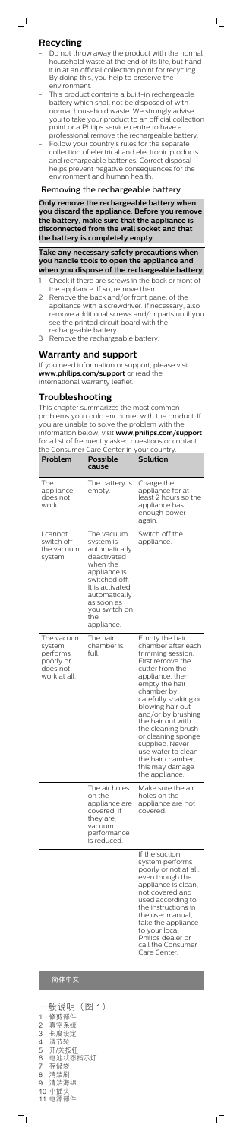## **Recycling**

 $\overline{\phantom{0}}$ 

- Do not throw away the product with the normal household waste at the end of its life, but hand it in at an official collection point for recycling. By doing this, you help to preserve the environment.

 $\mathsf{I}$ 

- This product contains a built-in rechargeable battery which shall not be disposed of with normal household waste. We strongly advise you to take your product to an official collection point or a Philips service centre to have a professional remove the rechargeable battery
- Follow your country's rules for the separate collection of electrical and electronic products and rechargeable batteries. Correct disposal helps prevent negative consequences for the environment and human health.

#### Removing the rechargeable battery

**Only remove the rechargeable battery when you discard the appliance. Before you remove the battery, make sure that the appliance is disconnected from the wall socket and that the battery is completely empty.**

**Take any necessary safety precautions when you handle tools to open the appliance and when you dispose of the rechargeable battery.**

- 1 Check if there are screws in the back or front of the appliance. If so, remove them.
- 2 Remove the back and/or front panel of the appliance with a screwdriver. If necessary, also remove additional screws and/or parts until you see the printed circuit board with the rechargeable battery.
- 3 Remove the rechargeable battery.

#### **Warranty and support**

If you need information or support, please visit **www.philips.com/support** or read the international warranty leaflet.

## **Troubleshooting**

This chapter summarizes the most common problems you could encounter with the product. If you are unable to solve the problem with the information below, visit **www.philips.com/support** for a list of frequently asked questions or contact the Consumer Care Center in your country.

| Problem                                                                   | Possible<br>cause                                                                                                                                                                            | <b>Solution</b>                                                                                                                                                                                                                                                                                                                                                                           |
|---------------------------------------------------------------------------|----------------------------------------------------------------------------------------------------------------------------------------------------------------------------------------------|-------------------------------------------------------------------------------------------------------------------------------------------------------------------------------------------------------------------------------------------------------------------------------------------------------------------------------------------------------------------------------------------|
| The<br>appliance<br>does not<br>work.                                     | The battery is<br>empty.                                                                                                                                                                     | Charge the<br>appliance for at<br>least 2 hours so the<br>appliance has<br>enough power<br>again.                                                                                                                                                                                                                                                                                         |
| I cannot<br>switch off<br>the vacuum<br>system.                           | The vacuum<br>system is<br>automatically<br>deactivated<br>when the<br>appliance is<br>switched off.<br>It is activated<br>automatically<br>as soon as<br>you switch on<br>the<br>appliance. | Switch off the<br>appliance.                                                                                                                                                                                                                                                                                                                                                              |
| The vacuum<br>system<br>performs<br>poorly or<br>does not<br>work at all. | The hair<br>chamber is<br>full.                                                                                                                                                              | Empty the hair<br>chamber after each<br>trimming session.<br>First remove the<br>cutter from the<br>appliance, then<br>empty the hair<br>chamber by<br>carefully shaking or<br>blowing hair out<br>and/or by brushing<br>the hair out with<br>the cleaning brush<br>or cleaning sponge<br>supplied. Never<br>use water to clean<br>the hair chamber,<br>this may damage<br>the appliance. |
|                                                                           | The air holes<br>on the<br>appliance are<br>covered. If                                                                                                                                      | Make sure the air<br>holes on the<br>appliance are not<br>covered.                                                                                                                                                                                                                                                                                                                        |

they are,

vacuum performance is reduced.

> If the suction system performs poorly or not at all, even though the appliance is clean, not covered and used according to the instructions in the user manual, take the appliance to your local Philips dealer or call the Consumer Care Center.

> > ıT

## 简体中文

|                | ·般说明(图 1) |
|----------------|-----------|
| 1              | 修剪部件      |
| $\overline{2}$ | 真空系统      |
| 3              | 长度设定      |
| 4              | 调节轮       |
| 5              | 开/关按钮     |
| 6              | 电池状态指示灯   |
| 7              | 存储袋       |
| 8              | 清洁刷       |
| 9              | 清洁海绵      |
|                | 10 小插头    |
| 11             | 电源部件      |

 $\frac{1}{\sqrt{2}}$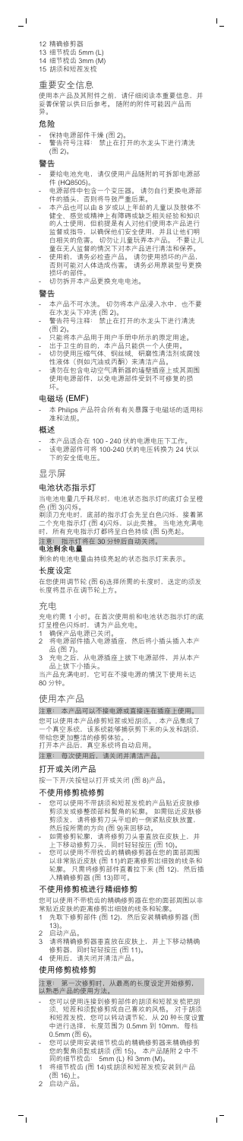12 精确修剪器 13 细节梳齿 5mm (L) 14 细节梳齿 3mm (M) 15 胡须和短茬发梳

#### 重要安全信息

- 保持电源部件干燥 (图 2)。
- 警告符号注释: 禁止在打开的水龙头下进行清洗 (图 2)。

使用本产品及其附件之前,请仔细阅读本重要信息,并 妥善保管以供日后参考。 随附的附件可能因产品而 异。

 $\overline{1}$ 

#### 危险

 $\overline{\phantom{a}}$ 

警告

- 要给电池充电,请仅使用产品随附的可拆卸电源部 件 (HQ8505)。
- 电源部件中包含一个变压器。 请勿自行更换电源部 件的插头,否则将导致严重后果。
- 本产品也可以由 8 岁或以上年龄的儿童以及肢体不 健全、感觉或精神上有障碍或缺乏相关经验和知识 的人士使用,但前提是有人对他们使用本产品进行 监督或指导,以确保他们安全使用,并且让他们明 白相关的危害。 切勿让儿童玩弄本产品。 不要让儿 童在无人监督的情况下对本产品进行清洁和保养。
- 使用前,请务必检查产品。 请勿使用损坏的产品, 否则可能对人体造成伤害。 请务必用原装型号更换 损坏的部件。
- 切勿拆开本产品更换充电电池。

当电池电量几乎耗尽时,电池状态指示灯的底灯会呈橙 色 (图 3)闪烁。<br>剃须刀充电时,

底部的指示灯会先呈白色闪烁,接着第<br>「(图 4)闪烁,以此类推。 当电池充满电 ……<br>个充电指示灯 (图 4)闪烁, 时,所有充电指示灯都将呈白色持续 (图 5)亮起。

#### 警告

- 本产品不可水洗。 切勿将本产品浸入水中, 也不要 在水龙头下冲洗 (图 2)。
- 警告符号注释: 禁止在打开的水龙头下进行清洗 (图 2)。
- 。<br>只能将本产品用于用户手册中所示的原定用途。
- 出于卫生的目的,本产品只能供一个人使用。
- 切勿使用压缩气体、钢丝绒、研磨性清洁剂或腐蚀 性液体(例如汽油或丙酮)来清洁产品。
- 请勿在包含电动空气清新器的墙壁插座上或其周围<br>使用电源部件,以免电源部件受到不可修复的损 以免电源部件受到不可修复的损 .<br>坏。

- 1 确保产品电源已关闭。
- 2 将电源部件插入电源插座,然后将小插头插入本产 品 (图 7)。
- 从电源插座上拔下电源部件,并从本产 品(二)。<br>充电之后,从电)<br>品上拔下小插头。

当产品充满电时,它可在不接电源的情况下使用长达 80 分钟

注意: 本产品可以不接电源或直接连在插座上使用。 您可以使用本产品修剪短茬或短胡须。. 本产品集成了 -<br>·个真空系统,该系统能够捕获剪下来的头发和胡须, 带给您更加整洁的修剪体验。<br>打开本产品后, 真空系统将! 真空系统将自动启用。

- 您可以使用不带胡须和短茬发梳的产品贴近皮肤修 剪须发或修整颈部和鬓角的轮廓。 如需贴近皮肤修<br>剪须发,请将修剪刀头平坦的一侧紧贴皮肤放置, 剪须发, 请将修剪刀头平坦的一

然后按所需的方向 (图 9)来回移动。<br>如需修剪轮廓, 请将修剪刀头垂直

## 电磁场 (EMF)

- 本 Philips 产品符合所有有关暴露于电磁场的适用标 准和法规。

#### 概述

- 本产品适合在 100 240 伏的电源电压下工作。
- 该电源部件可将 100-240 伏的电压转换为 24 伏以 下的安全低电压。

- 如需修剪轮廓,请将修剪刀头垂直放在皮肤上,并 上下移动修剪刀头,同时轻轻按压 (图 10)。
- 您可以使用不带梳齿的精确修剪器在您的面部周围 以非常贴近皮肤 (图 11)的距离修剪出细致的线条和<br>轮廓。只需将修剪部件直着拉下来 (图 12), 然后插 只需将修剪部件直着拉下来 (图 12), 然后插 入精确修剪器 (图 13)即可。

显示屏

#### 电池状态指示灯

#### 注意: 指示灯将在 30 分钟后自动关闭。 电池剩余电量

剩余的电池电量由持续亮起的状态指示灯来表示。

#### 长度设定

在您使用调节轮 (图 6)选择所需的长度时,选定的须发 长度将显示在调节轮上方。

- 您可以使用连接到修剪部件的胡须和短茬发梳把胡<br>须、短茬和须髭修剪成自己喜欢的风格。 对于胡须 须、短茬和须髭修剪成自己喜欢的风格。 对于胡须<br>和短茬发梳,您可以转动调节轮,从 20 种长度设置 和短茬发梳, 您可以转动调节轮,<br>中进行选择, 长度范围为 0.5mm 长度范围为 0.5mm 到 10mm, 每档 0.5mm (图 6)。
- 您可以使用安装细节梳齿的精确修剪器来精确修剪<br>您的鬓角须髭或胡须 (图 15)。 本产品随附 2 中不 您的鬓角须髭或胡须 (图 15)。 本产品随附 2 中不 同的细节梳齿: 5mm (L) 和 3mm (M)。
- 1 将细节梳齿 (图 14)或胡须和短茬发梳安装到产品 (图 16)上。

 $\overline{1}$ 

#### 充电

充电约需 1 小时。在首次使用前和电池状态指示灯的底 灯呈橙色闪烁时,请为产品充电。

#### 使用本产品

注意: 每次使用后,请关闭并清洁产品。

## 打开或关闭产品

按一下开/关按钮以打开或关闭 (图 8)产品。

#### 不使用修剪梳修剪

#### 不使用修剪梳进行精细修剪

您可以使用不带梳齿的精确修剪器在您的面部周围以非 常贴近皮肤的距离修剪出细致的线条和轮廓。

- 1 先取下修剪部件 (图 12),然后安装精确修剪器 (图 13)。
- 2 启动产品
- 3 请将精确修剪器垂直放在皮肤上, 并上下移动精确 修剪器,同时轻轻按压 (图 11)。
- 4 使用后,请关闭并清洁产品。

#### 使用修剪梳修剪

注意: 第一次修剪时,从最高的长度设定开始修剪, 以熟悉产品的使用方法。

2 启动产品。

 $\frac{1}{\sqrt{2}}$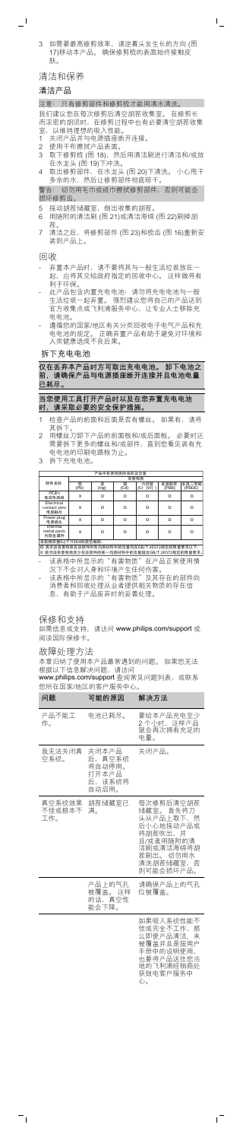3 如需要最高修剪效率,请逆着头发生长的方向 (图 17)移动本产品。 确保修剪梳的表面始终接触皮 肤。

 $\mathbf{I}$ 

清洁和保养

#### 清洁产品

 $\overline{\phantom{0}}$ 

我们建议您在每次修剪后清空胡茬收集室。 在修剪长<br>而浓密的胡须时,在修剪过程中也有必要清空胡茬收! 而浓密的胡须时,在修剪过程中也有必要清空胡茬收集 室,以维持理想的吸入性能。

#### 注意: 只有修剪部件和修剪梳才能用清水清洗。

- 1 关闭产品并与电源插座断开连接。
- 
- 2 使用干布擦拭产品表面。<br>3 取下修剪梳 (图 18),然 3 取下修剪梳 (图 18),然后用清洁刷进行清洁和/或放 在水龙头 (图 19)下冲洗。
- 4 取出修剪部件,在水龙头 (图 20)下清洗。 小心甩干 多余的水,然后让修剪部件彻底晾干。

- 5 摇动胡茬储藏室, 倒出收集的胡茬
- 6 用随附的清洁刷 (图 21)或清洁海绵 (图 22)刷掉胡 茬。
- 7 清洁之后,将修剪部件 (图 23)和梳齿 (图 16)重新安 装到产品上。

警告: 切勿用毛巾或纸巾擦拭修剪部件,否则可能会 损坏修剪齿。

- -<br>弃置本产品时,请不要将其与一般生活垃圾放在一<br>起,应将其交给政府指定的回收中心。 这样做将有 ,<br>应将其交给政府指定的回收中心。 利于环保。
- 此产品包含内置充电电池;请勿将充电电池与一般 生活垃圾一起弃置。 强烈建议您将自己的产品送到<br>官方收集点或飞利浦服务中心,让专业人士移除充 官方收集点或飞利浦服务中心, 电电池。
- 遵循您的国家/地区有关分类回收电子电气产品和充 电电池的规定。 正确弃置产品有助于避免对环境和 人类健康造成不良后果。

回收

拆下充电电池

- 该表格中所显示的"有害物质"及其存在的部件向 以公伯王が並小的、有害物质、及共行在的部門<br>消费者和回收处理从业者提供相关物质的存在信<br>息.有助于产品废弃时的妥善处理。 息,有助于产品废弃时的妥善处理。

**仅在丢弃本产品时方可取出充电电池。 卸下电池之 前,请确保产品与电源插座断开连接并且电池电量 已耗尽。**

本章归纳了使用本产品最常遇到的问题。 如果您无法 根据以下信息解决问题,请访问<br>**www.philips.com/support** 查阅常见问题列表,或联系

**当您使用工具打开产品时以及在您弃置充电电池 时,请采取必要的安全保护措施。**

- 1 检查产品的前面和后面是否有螺丝。 如果有,请将 其拆下。
- 2 用螺丝刀卸下产品的前面板和/或后面板。 必要时还 需要拆下更多的螺丝和/或部件,直到您看见装有充 电电池的印刷电路板为止。
- 3 拆下充电电池。

#### <u>产品中有害物质的名称及含量</u><br>有害物质 部件名称 铅<br>(Pb) 汞<br>(Hg) 镉<br>(Cd) <sub>物质</sub><br> 六价铬<br>(Cr (VI) <sup>、</sup><br>(VI) ) ー<br>名浪群茶 (PBB) 6 (PBDE) PCB's 集成电路板 X O O O O O O<br>Electrical contact pins<br><u>电接触片</u><br>Power plug X O O O O O Ǘ۷Ǽ X O O O O O  $X \quad | \quad 0 \quad | \quad 0 \quad | \quad 0 \quad | \quad 0 \quad | \quad 0$ 电源插头<br>Internal<br><sub>netal</sub> par metal parts<br>内部金属件

本表格依据SJ/T 11364的规定编制。<br>O፡ 表示该有害物质在该部件所有均质材料中的含量均在GB/T 26572规定的限量要求以下。 X:表示该有害物质至少在该部件的某一均质材料中的含量超出GB/T 26572规定的限量要求。|

- 该表格中所显示的"有害物质"在产品正常使用情 况下不会对人身和环境产生任何伤害。

#### 保修和支持

如需信息或支持,请访问 **www.philips.com/support** 或 阅读国际保修卡。

#### 故障处理方法

 $^{-}$ 

您所在国家/地区的客户服务中心。

| 问题                      | 可能的原因                                                 | 解决方法                                                                                                                          |
|-------------------------|-------------------------------------------------------|-------------------------------------------------------------------------------------------------------------------------------|
| 产品不能工<br>作。             | 电池已耗尽。                                                | 要给本产品充电至少<br>2.个小时,这样产品<br>就会再次拥有充足的<br>电量。                                                                                   |
| 我无法关闭真<br>空系统。          | 关闭本产品<br>后,真空系统<br>将自动停用。<br>打开本产品<br>后,该系统将<br>自动启用。 | 关闭产品。                                                                                                                         |
| 真空系统效果<br>不佳或根本不<br>工作。 | 胡茬储藏室已<br>满。                                          | 每次修剪后清空胡茬<br>储藏室。 首先将刀<br>头从产品上取下,然<br>后小心地摇动产品或<br>将胡茬吹出,并<br>且/或者用随附的清<br>洁刷或清洁海绵将胡<br>茬刷出。 切勿用水<br>清洗胡茬储藏室, 否<br>则可能会损坏产品。 |
|                         | 产品 上的气孔<br>被覆盖。 这样<br>的话,真空性<br>能会下降。                 | 请确保产品上的气孔,<br>位被覆盖。                                                                                                           |
|                         |                                                       | 如果吸入系统性能不<br>佳或完全不工作,<br>么即使产品清洁、<br>那<br>未<br>被覆盖并且是按用户<br>手册中的说明使用,<br>也要将产品送往您当<br>地的飞利浦经销商处<br>获致电客户服务中                   |

心。

 $^{-}$